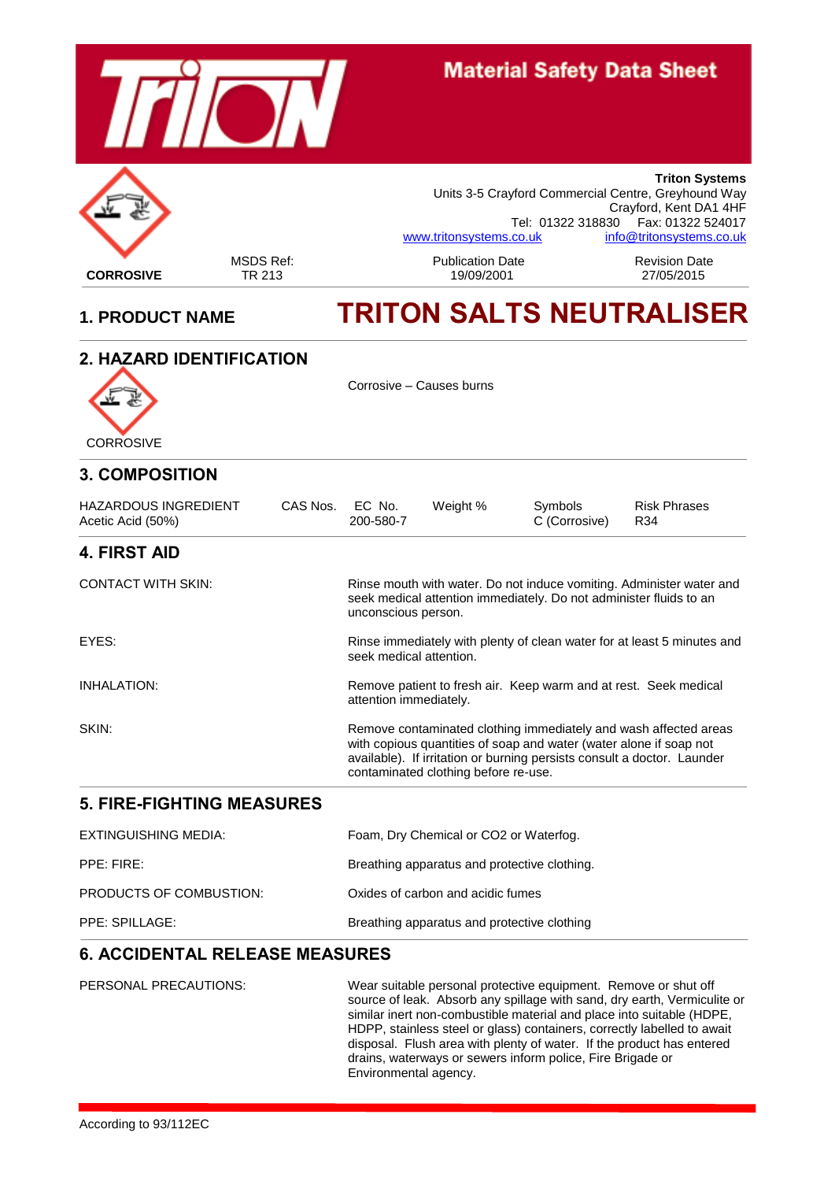

## **Material Safety Data Sheet**



#### MSDS Ref: 
Publication Date 
Revision Date<br>
TR 213 19/09/2001 **Triton Systems** Units 3-5 Crayford Commercial Centre, Greyhound Way Crayford, Kent DA1 4HF Tel: 01322 318830 Fax: 01322 524017<br>co.uk. info@tritonsystems.co.uk. [www.tritonsystems.co.uk](http://www.tritonsystems.co.uk/)

# **1. PRODUCT NAME TRITON SALTS NEUTRALISER**

### **2. HAZARD IDENTIFICATION**



Corrosive – Causes burns

| <b>3. COMPOSITION</b>                            |                 |                                                                                                                                                                                                                                                           |          |                                                                    |                                                                         |
|--------------------------------------------------|-----------------|-----------------------------------------------------------------------------------------------------------------------------------------------------------------------------------------------------------------------------------------------------------|----------|--------------------------------------------------------------------|-------------------------------------------------------------------------|
| <b>HAZARDOUS INGREDIENT</b><br>Acetic Acid (50%) | CAS Nos. EC No. | 200-580-7                                                                                                                                                                                                                                                 | Weight % | Symbols<br>C (Corrosive)                                           | <b>Risk Phrases</b><br>R34                                              |
| <b>4. FIRST AID</b>                              |                 |                                                                                                                                                                                                                                                           |          |                                                                    |                                                                         |
| <b>CONTACT WITH SKIN:</b>                        |                 | unconscious person.                                                                                                                                                                                                                                       |          | seek medical attention immediately. Do not administer fluids to an | Rinse mouth with water. Do not induce vomiting. Administer water and    |
| EYES:                                            |                 | seek medical attention.                                                                                                                                                                                                                                   |          |                                                                    | Rinse immediately with plenty of clean water for at least 5 minutes and |
| INHALATION:                                      |                 | attention immediately.                                                                                                                                                                                                                                    |          | Remove patient to fresh air. Keep warm and at rest. Seek medical   |                                                                         |
| SKIN:                                            |                 | Remove contaminated clothing immediately and wash affected areas<br>with copious quantities of soap and water (water alone if soap not<br>available). If irritation or burning persists consult a doctor. Launder<br>contaminated clothing before re-use. |          |                                                                    |                                                                         |

#### **5. FIRE-FIGHTING MEASURES**

| EXTINGUISHING MEDIA:    | Foam, Dry Chemical or CO2 or Waterfog.       |
|-------------------------|----------------------------------------------|
| PPE: FIRE:              | Breathing apparatus and protective clothing. |
| PRODUCTS OF COMBUSTION: | Oxides of carbon and acidic fumes            |
| PPE: SPILLAGE:          | Breathing apparatus and protective clothing  |

#### **6. ACCIDENTAL RELEASE MEASURES**

PERSONAL PRECAUTIONS: Wear suitable personal protective equipment. Remove or shut off source of leak. Absorb any spillage with sand, dry earth, Vermiculite or similar inert non-combustible material and place into suitable (HDPE, HDPP, stainless steel or glass) containers, correctly labelled to await disposal. Flush area with plenty of water. If the product has entered drains, waterways or sewers inform police, Fire Brigade or Environmental agency.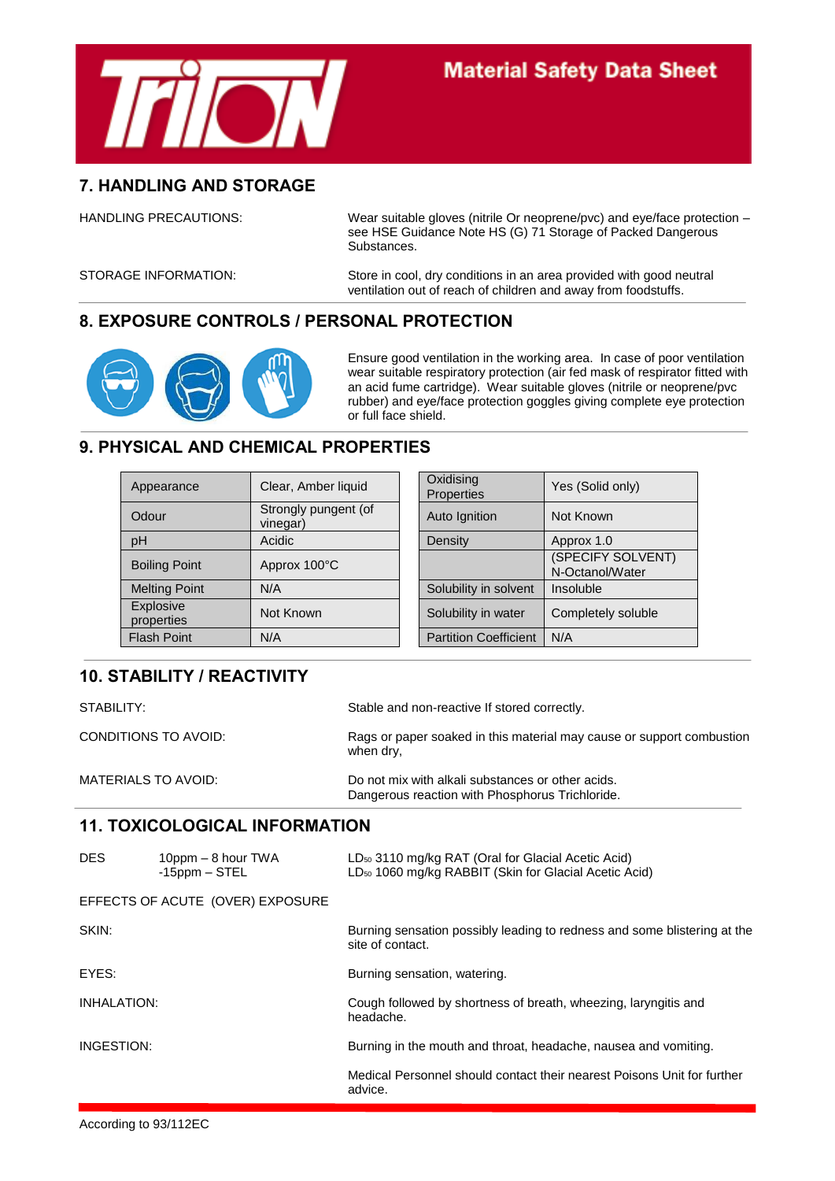

#### **7. HANDLING AND STORAGE**

HANDLING PRECAUTIONS: Wear suitable gloves (nitrile Or neoprene/pvc) and eye/face protection – see HSE Guidance Note HS (G) 71 Storage of Packed Dangerous Substances.

STORAGE INFORMATION: Store in cool, dry conditions in an area provided with good neutral ventilation out of reach of children and away from foodstuffs.

#### **8. EXPOSURE CONTROLS / PERSONAL PROTECTION**



Ensure good ventilation in the working area. In case of poor ventilation wear suitable respiratory protection (air fed mask of respirator fitted with an acid fume cartridge). Wear suitable gloves (nitrile or neoprene/pvc rubber) and eye/face protection goggles giving complete eye protection or full face shield.

#### **9. PHYSICAL AND CHEMICAL PROPERTIES**

| Appearance              | Clear, Amber liquid              | Oxidising<br><b>Properties</b> | Yes (Solid only)                     |
|-------------------------|----------------------------------|--------------------------------|--------------------------------------|
| Odour                   | Strongly pungent (of<br>vinegar) | Auto Ignition                  | Not Known                            |
| pH                      | Acidic                           | Density                        | Approx 1.0                           |
| <b>Boiling Point</b>    | Approx 100°C                     |                                | (SPECIFY SOLVENT)<br>N-Octanol/Water |
| <b>Melting Point</b>    | N/A                              | Solubility in solvent          | Insoluble                            |
| Explosive<br>properties | Not Known                        | Solubility in water            | Completely soluble                   |
| <b>Flash Point</b>      | N/A                              | <b>Partition Coefficient</b>   | N/A                                  |
|                         |                                  |                                |                                      |

#### **10. STABILITY / REACTIVITY**

STABILITY: STABILITY: Stable and non-reactive If stored correctly. CONDITIONS TO AVOID: Rags or paper soaked in this material may cause or support combustion when dry, MATERIALS TO AVOID: Do not mix with alkali substances or other acids. Dangerous reaction with Phosphorus Trichloride.

#### **11. TOXICOLOGICAL INFORMATION**

| DES.               | $10$ ppm $-8$ hour TWA<br>$-15$ ppm $-$ STEL | LD <sub>50</sub> 3110 mg/kg RAT (Oral for Glacial Acetic Acid)<br>LD <sub>50</sub> 1060 mg/kg RABBIT (Skin for Glacial Acetic Acid) |
|--------------------|----------------------------------------------|-------------------------------------------------------------------------------------------------------------------------------------|
|                    | EFFECTS OF ACUTE (OVER) EXPOSURE             |                                                                                                                                     |
| SKIN:              |                                              | Burning sensation possibly leading to redness and some blistering at the<br>site of contact.                                        |
| EYES:              |                                              | Burning sensation, watering.                                                                                                        |
| <b>INHALATION:</b> |                                              | Cough followed by shortness of breath, wheezing, laryngitis and<br>headache.                                                        |
| INGESTION:         |                                              | Burning in the mouth and throat, headache, nausea and vomiting.                                                                     |
|                    |                                              | Medical Personnel should contact their nearest Poisons Unit for further<br>advice.                                                  |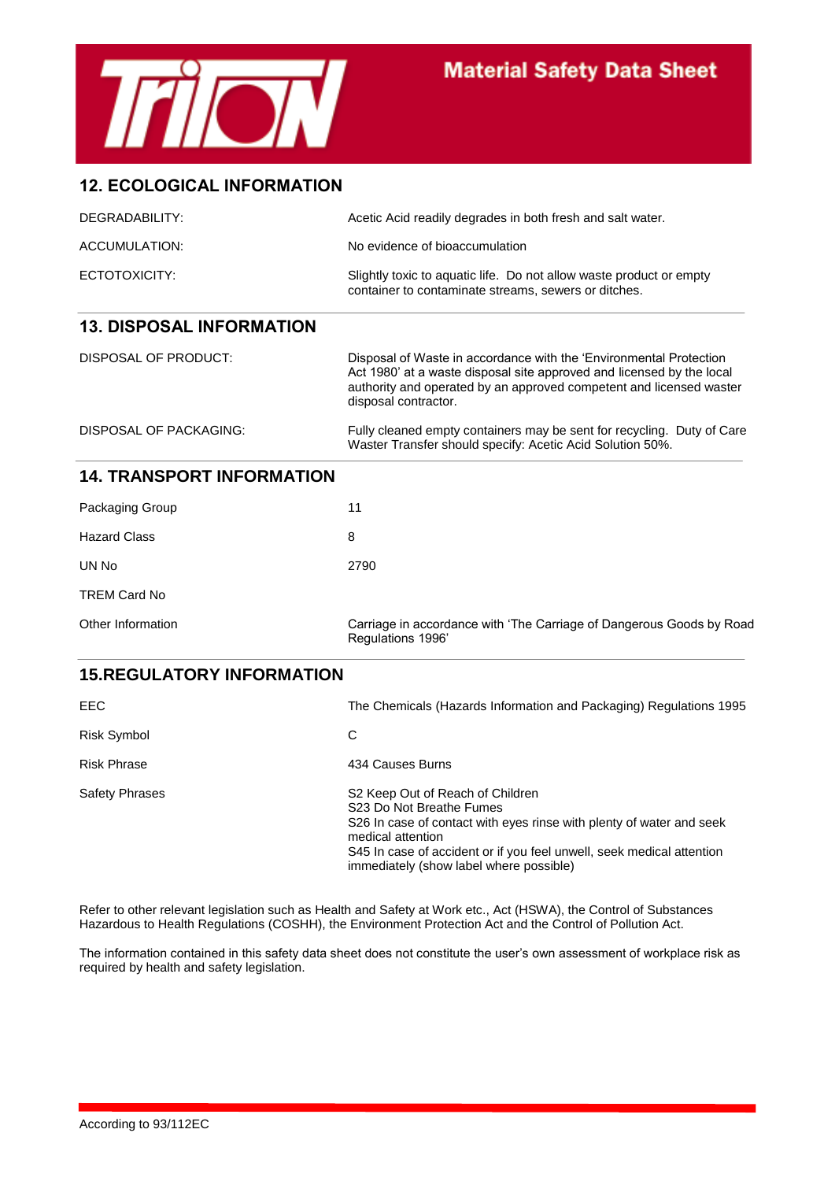

# **Material Safety Data Sheet**

#### **12. ECOLOGICAL INFORMATION**

| DEGRADABILITY:                   | Acetic Acid readily degrades in both fresh and salt water.                                                                                                                                                                                 |
|----------------------------------|--------------------------------------------------------------------------------------------------------------------------------------------------------------------------------------------------------------------------------------------|
| ACCUMULATION:                    | No evidence of bioaccumulation                                                                                                                                                                                                             |
| ECTOTOXICITY:                    | Slightly toxic to aquatic life. Do not allow waste product or empty<br>container to contaminate streams, sewers or ditches.                                                                                                                |
| <b>13. DISPOSAL INFORMATION</b>  |                                                                                                                                                                                                                                            |
| DISPOSAL OF PRODUCT:             | Disposal of Waste in accordance with the 'Environmental Protection<br>Act 1980' at a waste disposal site approved and licensed by the local<br>authority and operated by an approved competent and licensed waster<br>disposal contractor. |
| DISPOSAL OF PACKAGING:           | Fully cleaned empty containers may be sent for recycling. Duty of Care<br>Waster Transfer should specify: Acetic Acid Solution 50%.                                                                                                        |
| <b>14. TRANSPORT INFORMATION</b> |                                                                                                                                                                                                                                            |
| Packaging Group                  | 11                                                                                                                                                                                                                                         |

| <b>Fackaying Group</b> |                                                                                          |
|------------------------|------------------------------------------------------------------------------------------|
| <b>Hazard Class</b>    | 8                                                                                        |
| UN No                  | 2790                                                                                     |
| <b>TREM Card No</b>    |                                                                                          |
| Other Information      | Carriage in accordance with 'The Carriage of Dangerous Goods by Road<br>Regulations 1996 |

#### **15.REGULATORY INFORMATION**

| EEC.               | The Chemicals (Hazards Information and Packaging) Regulations 1995                                                                                                                                                                                                                        |
|--------------------|-------------------------------------------------------------------------------------------------------------------------------------------------------------------------------------------------------------------------------------------------------------------------------------------|
| Risk Symbol        | С                                                                                                                                                                                                                                                                                         |
| <b>Risk Phrase</b> | 434 Causes Burns                                                                                                                                                                                                                                                                          |
| Safety Phrases     | S <sub>2</sub> Keep Out of Reach of Children<br>S23 Do Not Breathe Fumes<br>S26 In case of contact with eyes rinse with plenty of water and seek<br>medical attention<br>S45 In case of accident or if you feel unwell, seek medical attention<br>immediately (show label where possible) |

Refer to other relevant legislation such as Health and Safety at Work etc., Act (HSWA), the Control of Substances Hazardous to Health Regulations (COSHH), the Environment Protection Act and the Control of Pollution Act.

The information contained in this safety data sheet does not constitute the user's own assessment of workplace risk as required by health and safety legislation.